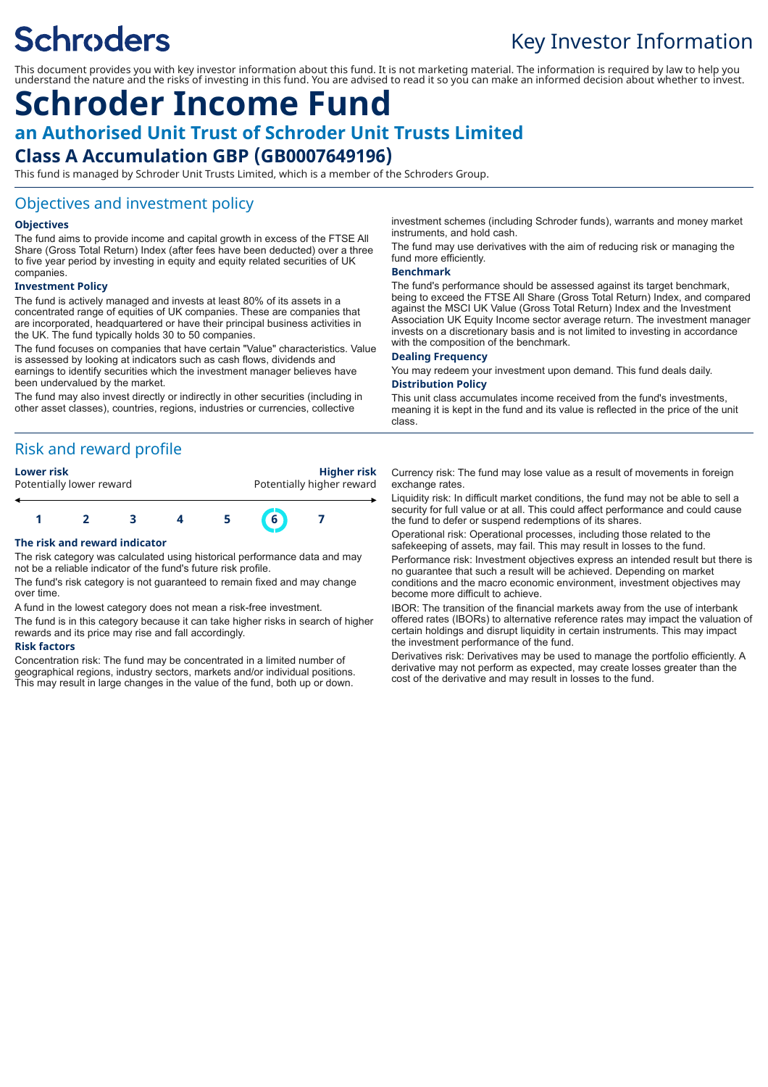# **Schroders**

## Key Investor Information

This document provides you with key investor information about this fund. It is not marketing material. The information is required by law to help you understand the nature and the risks of investing in this fund. You are advised to read it so you can make an informed decision about whether to invest.

## **Schroder Income Fund an Authorised Unit Trust of Schroder Unit Trusts Limited Class A Accumulation GBP (GB0007649196)**

This fund is managed by Schroder Unit Trusts Limited, which is a member of the Schroders Group.

#### Objectives and investment policy

#### **Objectives**

The fund aims to provide income and capital growth in excess of the FTSE All Share (Gross Total Return) Index (after fees have been deducted) over a three to five year period by investing in equity and equity related securities of UK companies.

#### **Investment Policy**

The fund is actively managed and invests at least 80% of its assets in a concentrated range of equities of UK companies. These are companies that are incorporated, headquartered or have their principal business activities in the UK. The fund typically holds 30 to 50 companies.

The fund focuses on companies that have certain "Value" characteristics. Value is assessed by looking at indicators such as cash flows, dividends and earnings to identify securities which the investment manager believes have been undervalued by the market.

The fund may also invest directly or indirectly in other securities (including in other asset classes), countries, regions, industries or currencies, collective

#### Risk and reward profile

**Lower risk Higher risk** Potentially lower reward **Potentially higher reward** 



#### **The risk and reward indicator**

The risk category was calculated using historical performance data and may not be a reliable indicator of the fund's future risk profile.

The fund's risk category is not guaranteed to remain fixed and may change over time.

A fund in the lowest category does not mean a risk-free investment.

The fund is in this category because it can take higher risks in search of higher rewards and its price may rise and fall accordingly.

#### **Risk factors**

Concentration risk: The fund may be concentrated in a limited number of geographical regions, industry sectors, markets and/or individual positions. This may result in large changes in the value of the fund, both up or down.

investment schemes (including Schroder funds), warrants and money market instruments, and hold cash.

The fund may use derivatives with the aim of reducing risk or managing the fund more efficiently.

#### **Benchmark**

The fund's performance should be assessed against its target benchmark, being to exceed the FTSE All Share (Gross Total Return) Index, and compared against the MSCI UK Value (Gross Total Return) Index and the Investment Association UK Equity Income sector average return. The investment manager invests on a discretionary basis and is not limited to investing in accordance with the composition of the benchmark.

#### **Dealing Frequency**

You may redeem your investment upon demand. This fund deals daily. **Distribution Policy**

This unit class accumulates income received from the fund's investments, meaning it is kept in the fund and its value is reflected in the price of the unit class.

Currency risk: The fund may lose value as a result of movements in foreign exchange rates.

Liquidity risk: In difficult market conditions, the fund may not be able to sell a security for full value or at all. This could affect performance and could cause the fund to defer or suspend redemptions of its shares.

Operational risk: Operational processes, including those related to the safekeeping of assets, may fail. This may result in losses to the fund.

Performance risk: Investment objectives express an intended result but there is no guarantee that such a result will be achieved. Depending on market conditions and the macro economic environment, investment objectives may become more difficult to achieve.

IBOR: The transition of the financial markets away from the use of interbank offered rates (IBORs) to alternative reference rates may impact the valuation of certain holdings and disrupt liquidity in certain instruments. This may impact the investment performance of the fund.

Derivatives risk: Derivatives may be used to manage the portfolio efficiently. A derivative may not perform as expected, may create losses greater than the cost of the derivative and may result in losses to the fund.